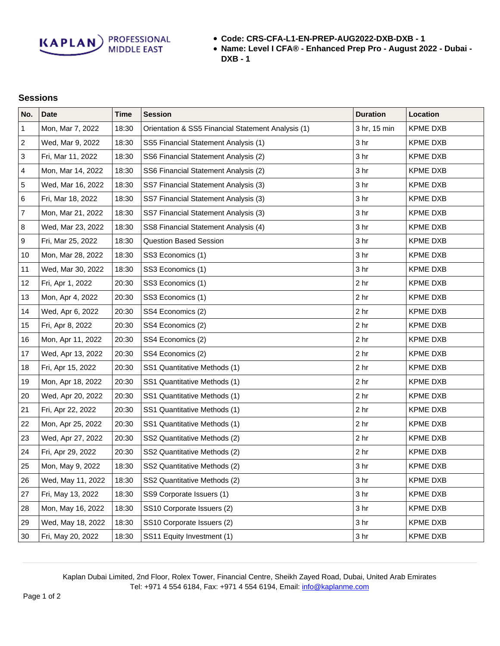**KAPLAN** PROFESSIONAL

- **Code: CRS-CFA-L1-EN-PREP-AUG2022-DXB-DXB 1**
- **Name: Level I CFA® Enhanced Prep Pro August 2022 Dubai - DXB - 1**

## **Sessions**

| No.              | <b>Date</b>       | <b>Time</b> | <b>Session</b>                                     | <b>Duration</b> | Location        |
|------------------|-------------------|-------------|----------------------------------------------------|-----------------|-----------------|
| 1                | Mon, Mar 7, 2022  | 18:30       | Orientation & SS5 Financial Statement Analysis (1) | 3 hr, 15 min    | <b>KPME DXB</b> |
| $\sqrt{2}$       | Wed, Mar 9, 2022  | 18:30       | SS5 Financial Statement Analysis (1)               | 3 hr            | <b>KPME DXB</b> |
| $\sqrt{3}$       | Fri, Mar 11, 2022 | 18:30       | SS6 Financial Statement Analysis (2)               | 3 <sub>hr</sub> | <b>KPME DXB</b> |
| 4                | Mon, Mar 14, 2022 | 18:30       | SS6 Financial Statement Analysis (2)               | 3 <sub>hr</sub> | <b>KPME DXB</b> |
| $\sqrt{5}$       | Wed, Mar 16, 2022 | 18:30       | SS7 Financial Statement Analysis (3)               | 3 hr            | <b>KPME DXB</b> |
| 6                | Fri, Mar 18, 2022 | 18:30       | SS7 Financial Statement Analysis (3)               | 3 <sub>hr</sub> | <b>KPME DXB</b> |
| $\overline{7}$   | Mon, Mar 21, 2022 | 18:30       | SS7 Financial Statement Analysis (3)               | 3 hr            | <b>KPME DXB</b> |
| 8                | Wed, Mar 23, 2022 | 18:30       | SS8 Financial Statement Analysis (4)               | 3 <sub>hr</sub> | <b>KPME DXB</b> |
| $\boldsymbol{9}$ | Fri, Mar 25, 2022 | 18:30       | <b>Question Based Session</b>                      | 3 <sub>hr</sub> | <b>KPME DXB</b> |
| 10               | Mon, Mar 28, 2022 | 18:30       | SS3 Economics (1)                                  | 3 hr            | <b>KPME DXB</b> |
| 11               | Wed, Mar 30, 2022 | 18:30       | SS3 Economics (1)                                  | 3 hr            | <b>KPME DXB</b> |
| 12               | Fri, Apr 1, 2022  | 20:30       | SS3 Economics (1)                                  | 2 <sub>hr</sub> | <b>KPME DXB</b> |
| 13               | Mon, Apr 4, 2022  | 20:30       | SS3 Economics (1)                                  | 2 <sub>hr</sub> | <b>KPME DXB</b> |
| 14               | Wed, Apr 6, 2022  | 20:30       | SS4 Economics (2)                                  | 2 <sub>hr</sub> | <b>KPME DXB</b> |
| 15               | Fri, Apr 8, 2022  | 20:30       | SS4 Economics (2)                                  | 2 <sub>hr</sub> | <b>KPME DXB</b> |
| 16               | Mon, Apr 11, 2022 | 20:30       | SS4 Economics (2)                                  | 2 <sub>hr</sub> | <b>KPME DXB</b> |
| 17               | Wed, Apr 13, 2022 | 20:30       | SS4 Economics (2)                                  | 2 <sub>hr</sub> | <b>KPME DXB</b> |
| 18               | Fri, Apr 15, 2022 | 20:30       | SS1 Quantitative Methods (1)                       | 2 <sub>hr</sub> | <b>KPME DXB</b> |
| 19               | Mon, Apr 18, 2022 | 20:30       | SS1 Quantitative Methods (1)                       | 2 <sub>hr</sub> | <b>KPME DXB</b> |
| 20               | Wed, Apr 20, 2022 | 20:30       | SS1 Quantitative Methods (1)                       | 2 <sub>hr</sub> | <b>KPME DXB</b> |
| 21               | Fri, Apr 22, 2022 | 20:30       | SS1 Quantitative Methods (1)                       | 2 <sub>hr</sub> | <b>KPME DXB</b> |
| 22               | Mon, Apr 25, 2022 | 20:30       | SS1 Quantitative Methods (1)                       | 2 <sub>hr</sub> | <b>KPME DXB</b> |
| 23               | Wed, Apr 27, 2022 | 20:30       | SS2 Quantitative Methods (2)                       | 2 <sub>hr</sub> | <b>KPME DXB</b> |
| 24               | Fri, Apr 29, 2022 | 20:30       | SS2 Quantitative Methods (2)                       | 2 <sub>hr</sub> | <b>KPME DXB</b> |
| 25               | Mon, May 9, 2022  | 18:30       | SS2 Quantitative Methods (2)                       | 3 <sub>hr</sub> | <b>KPME DXB</b> |
| 26               | Wed, May 11, 2022 | 18:30       | SS2 Quantitative Methods (2)                       | 3 <sub>hr</sub> | <b>KPME DXB</b> |
| 27               | Fri, May 13, 2022 | 18:30       | SS9 Corporate Issuers (1)                          | 3 <sub>hr</sub> | <b>KPME DXB</b> |
| 28               | Mon, May 16, 2022 | 18:30       | SS10 Corporate Issuers (2)                         | 3 hr            | <b>KPME DXB</b> |
| 29               | Wed, May 18, 2022 | 18:30       | SS10 Corporate Issuers (2)                         | 3 <sub>hr</sub> | <b>KPME DXB</b> |
| 30               | Fri, May 20, 2022 | 18:30       | SS11 Equity Investment (1)                         | 3 <sub>hr</sub> | <b>KPME DXB</b> |

Kaplan Dubai Limited, 2nd Floor, Rolex Tower, Financial Centre, Sheikh Zayed Road, Dubai, United Arab Emirates Tel: +971 4 554 6184, Fax: +971 4 554 6194, Email: [info@kaplanme.com](mailto:info@kaplanme.com)